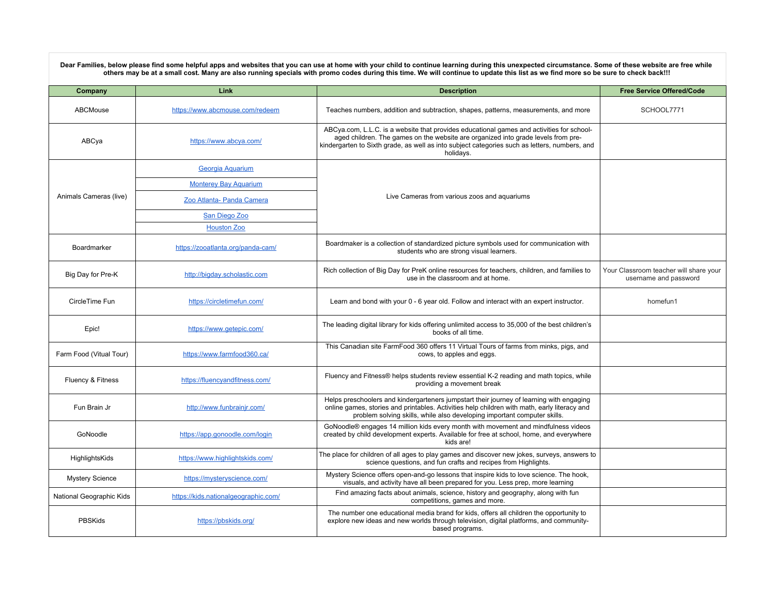Dear Families, below please find some helpful apps and websites that you can use at home with your child to continue learning during this unexpected circumstance. Some of these website are free while<br>others may be at a sma

| Company                  | Link                                 | <b>Description</b>                                                                                                                                                                                                                                                                           | <b>Free Service Offered/Code</b>                                |
|--------------------------|--------------------------------------|----------------------------------------------------------------------------------------------------------------------------------------------------------------------------------------------------------------------------------------------------------------------------------------------|-----------------------------------------------------------------|
| ABCMouse                 | https://www.abcmouse.com/redeem      | Teaches numbers, addition and subtraction, shapes, patterns, measurements, and more                                                                                                                                                                                                          | SCHOOL7771                                                      |
| ABCya                    | https://www.abcya.com/               | ABCya.com, L.L.C. is a website that provides educational games and activities for school-<br>aged children. The games on the website are organized into grade levels from pre-<br>kindergarten to Sixth grade, as well as into subject categories such as letters, numbers, and<br>holidavs. |                                                                 |
| Animals Cameras (live)   | Georgia Aguarium                     | Live Cameras from various zoos and aguariums                                                                                                                                                                                                                                                 |                                                                 |
|                          | <b>Monterey Bay Aquarium</b>         |                                                                                                                                                                                                                                                                                              |                                                                 |
|                          | Zoo Atlanta- Panda Camera            |                                                                                                                                                                                                                                                                                              |                                                                 |
|                          | San Diego Zoo                        |                                                                                                                                                                                                                                                                                              |                                                                 |
|                          | <b>Houston Zoo</b>                   |                                                                                                                                                                                                                                                                                              |                                                                 |
| Boardmarker              | https://zooatlanta.org/panda-cam/    | Boardmaker is a collection of standardized picture symbols used for communication with<br>students who are strong visual learners.                                                                                                                                                           |                                                                 |
| Big Day for Pre-K        | http://bigday.scholastic.com         | Rich collection of Big Day for PreK online resources for teachers, children, and families to<br>use in the classroom and at home.                                                                                                                                                            | Your Classroom teacher will share your<br>username and password |
| CircleTime Fun           | https://circletimefun.com/           | Learn and bond with your 0 - 6 year old. Follow and interact with an expert instructor.                                                                                                                                                                                                      | homefun1                                                        |
| Epic!                    | https://www.getepic.com/             | The leading digital library for kids offering unlimited access to 35,000 of the best children's<br>books of all time.                                                                                                                                                                        |                                                                 |
| Farm Food (Vitual Tour)  | https://www.farmfood360.ca/          | This Canadian site FarmFood 360 offers 11 Virtual Tours of farms from minks, pigs, and<br>cows, to apples and eggs.                                                                                                                                                                          |                                                                 |
| Fluency & Fitness        | https://fluencyandfitness.com/       | Fluency and Fitness® helps students review essential K-2 reading and math topics, while<br>providing a movement break                                                                                                                                                                        |                                                                 |
| Fun Brain Jr             | http://www.funbrainjr.com/           | Helps preschoolers and kindergarteners jumpstart their journey of learning with engaging<br>online games, stories and printables. Activities help children with math, early literacy and<br>problem solving skills, while also developing important computer skills.                         |                                                                 |
| GoNoodle                 | https://app.gonoodle.com/login       | GoNoodle® engages 14 million kids every month with movement and mindfulness videos<br>created by child development experts. Available for free at school, home, and everywhere<br>kids are!                                                                                                  |                                                                 |
| HighlightsKids           | https://www.highlightskids.com/      | The place for children of all ages to play games and discover new jokes, surveys, answers to<br>science questions, and fun crafts and recipes from Highlights.                                                                                                                               |                                                                 |
| <b>Mystery Science</b>   | https://mysteryscience.com/          | Mystery Science offers open-and-go lessons that inspire kids to love science. The hook,<br>visuals, and activity have all been prepared for you. Less prep, more learning                                                                                                                    |                                                                 |
| National Geographic Kids | https://kids.nationalgeographic.com/ | Find amazing facts about animals, science, history and geography, along with fun<br>competitions, games and more.                                                                                                                                                                            |                                                                 |
| <b>PBSKids</b>           | https://pbskids.org/                 | The number one educational media brand for kids, offers all children the opportunity to<br>explore new ideas and new worlds through television, digital platforms, and community-<br>based programs.                                                                                         |                                                                 |